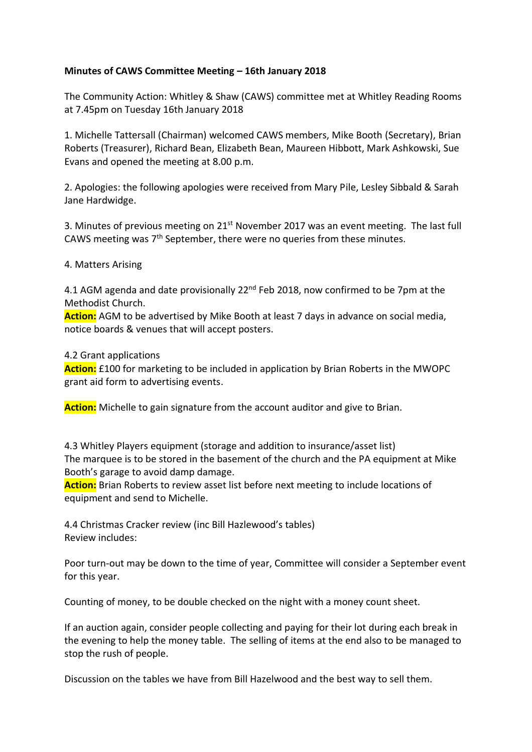## **Minutes of CAWS Committee Meeting – 16th January 2018**

The Community Action: Whitley & Shaw (CAWS) committee met at Whitley Reading Rooms at 7.45pm on Tuesday 16th January 2018

1. Michelle Tattersall (Chairman) welcomed CAWS members, Mike Booth (Secretary), Brian Roberts (Treasurer), Richard Bean, Elizabeth Bean, Maureen Hibbott, Mark Ashkowski, Sue Evans and opened the meeting at 8.00 p.m.

2. Apologies: the following apologies were received from Mary Pile, Lesley Sibbald & Sarah Jane Hardwidge.

3. Minutes of previous meeting on 21<sup>st</sup> November 2017 was an event meeting. The last full CAWS meeting was 7th September, there were no queries from these minutes.

### 4. Matters Arising

4.1 AGM agenda and date provisionally 22<sup>nd</sup> Feb 2018, now confirmed to be 7pm at the Methodist Church.

**Action:** AGM to be advertised by Mike Booth at least 7 days in advance on social media, notice boards & venues that will accept posters.

#### 4.2 Grant applications

**Action:** £100 for marketing to be included in application by Brian Roberts in the MWOPC grant aid form to advertising events.

**Action:** Michelle to gain signature from the account auditor and give to Brian.

4.3 Whitley Players equipment (storage and addition to insurance/asset list) The marquee is to be stored in the basement of the church and the PA equipment at Mike Booth's garage to avoid damp damage.

**Action:** Brian Roberts to review asset list before next meeting to include locations of equipment and send to Michelle.

4.4 Christmas Cracker review (inc Bill Hazlewood's tables) Review includes:

Poor turn-out may be down to the time of year, Committee will consider a September event for this year.

Counting of money, to be double checked on the night with a money count sheet.

If an auction again, consider people collecting and paying for their lot during each break in the evening to help the money table. The selling of items at the end also to be managed to stop the rush of people.

Discussion on the tables we have from Bill Hazelwood and the best way to sell them.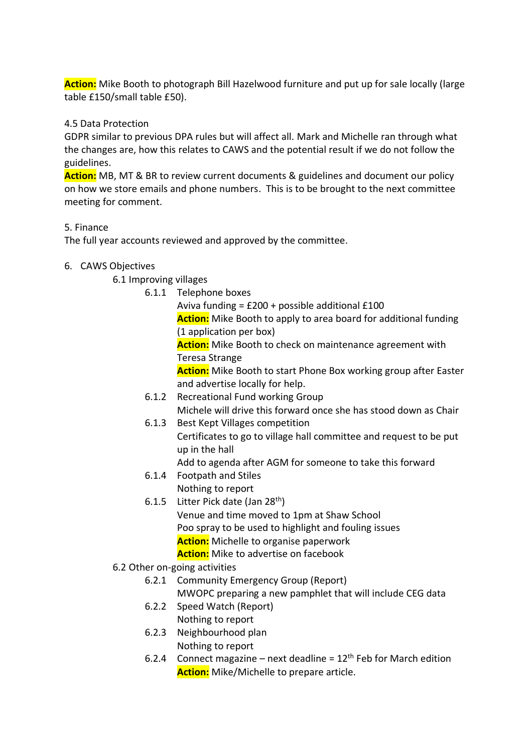**Action:** Mike Booth to photograph Bill Hazelwood furniture and put up for sale locally (large table £150/small table £50).

### 4.5 Data Protection

GDPR similar to previous DPA rules but will affect all. Mark and Michelle ran through what the changes are, how this relates to CAWS and the potential result if we do not follow the guidelines.

**Action:** MB, MT & BR to review current documents & guidelines and document our policy on how we store emails and phone numbers. This is to be brought to the next committee meeting for comment.

### 5. Finance

The full year accounts reviewed and approved by the committee.

# 6. CAWS Objectives

6.1 Improving villages

6.1.1 Telephone boxes

Aviva funding = £200 + possible additional £100

**Action:** Mike Booth to apply to area board for additional funding (1 application per box)

**Action:** Mike Booth to check on maintenance agreement with Teresa Strange

**Action:** Mike Booth to start Phone Box working group after Easter and advertise locally for help.

- 6.1.2 Recreational Fund working Group Michele will drive this forward once she has stood down as Chair
- 6.1.3 Best Kept Villages competition Certificates to go to village hall committee and request to be put up in the hall

Add to agenda after AGM for someone to take this forward

- 6.1.4 Footpath and Stiles Nothing to report
- 6.1.5 Litter Pick date (Jan  $28<sup>th</sup>$ ) Venue and time moved to 1pm at Shaw School Poo spray to be used to highlight and fouling issues **Action:** Michelle to organise paperwork **Action:** Mike to advertise on facebook
- 6.2 Other on-going activities
	- 6.2.1 Community Emergency Group (Report)
		- MWOPC preparing a new pamphlet that will include CEG data
	- 6.2.2 Speed Watch (Report) Nothing to report
	- 6.2.3 Neighbourhood plan Nothing to report
	- 6.2.4 Connect magazine next deadline =  $12<sup>th</sup>$  Feb for March edition **Action:** Mike/Michelle to prepare article.